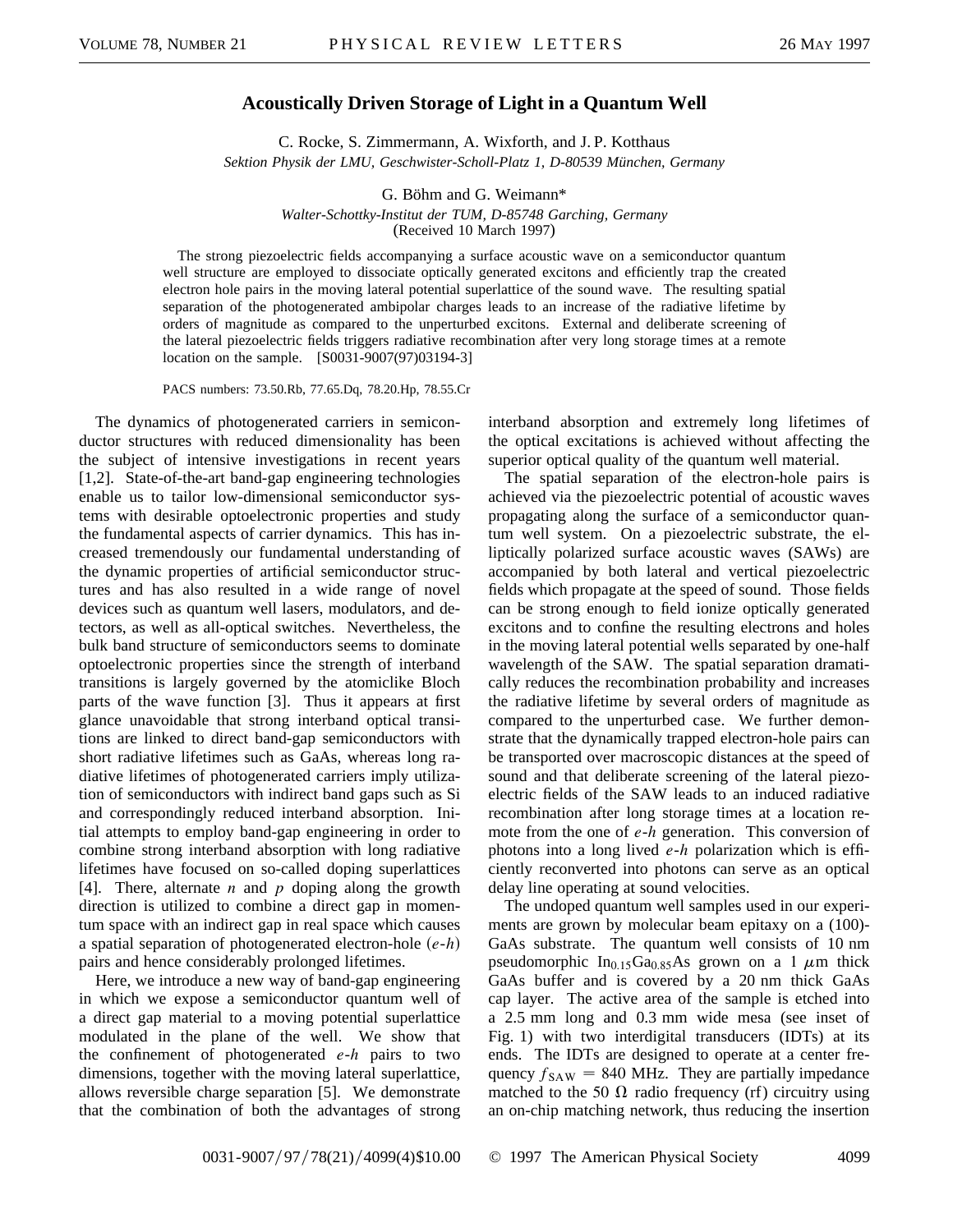## **Acoustically Driven Storage of Light in a Quantum Well**

C. Rocke, S. Zimmermann, A. Wixforth, and J. P. Kotthaus *Sektion Physik der LMU, Geschwister-Scholl-Platz 1, D-80539 München, Germany*

G. Böhm and G. Weimann\*

*Walter-Schottky-Institut der TUM, D-85748 Garching, Germany* (Received 10 March 1997)

The strong piezoelectric fields accompanying a surface acoustic wave on a semiconductor quantum well structure are employed to dissociate optically generated excitons and efficiently trap the created electron hole pairs in the moving lateral potential superlattice of the sound wave. The resulting spatial separation of the photogenerated ambipolar charges leads to an increase of the radiative lifetime by orders of magnitude as compared to the unperturbed excitons. External and deliberate screening of the lateral piezoelectric fields triggers radiative recombination after very long storage times at a remote location on the sample. [S0031-9007(97)03194-3]

PACS numbers: 73.50.Rb, 77.65.Dq, 78.20.Hp, 78.55.Cr

The dynamics of photogenerated carriers in semiconductor structures with reduced dimensionality has been the subject of intensive investigations in recent years [1,2]. State-of-the-art band-gap engineering technologies enable us to tailor low-dimensional semiconductor systems with desirable optoelectronic properties and study the fundamental aspects of carrier dynamics. This has increased tremendously our fundamental understanding of the dynamic properties of artificial semiconductor structures and has also resulted in a wide range of novel devices such as quantum well lasers, modulators, and detectors, as well as all-optical switches. Nevertheless, the bulk band structure of semiconductors seems to dominate optoelectronic properties since the strength of interband transitions is largely governed by the atomiclike Bloch parts of the wave function [3]. Thus it appears at first glance unavoidable that strong interband optical transitions are linked to direct band-gap semiconductors with short radiative lifetimes such as GaAs, whereas long radiative lifetimes of photogenerated carriers imply utilization of semiconductors with indirect band gaps such as Si and correspondingly reduced interband absorption. Initial attempts to employ band-gap engineering in order to combine strong interband absorption with long radiative lifetimes have focused on so-called doping superlattices [4]. There, alternate *n* and *p* doping along the growth direction is utilized to combine a direct gap in momentum space with an indirect gap in real space which causes a spatial separation of photogenerated electron-hole  $(e-h)$ pairs and hence considerably prolonged lifetimes.

Here, we introduce a new way of band-gap engineering in which we expose a semiconductor quantum well of a direct gap material to a moving potential superlattice modulated in the plane of the well. We show that the confinement of photogenerated *e*-*h* pairs to two dimensions, together with the moving lateral superlattice, allows reversible charge separation [5]. We demonstrate that the combination of both the advantages of strong

interband absorption and extremely long lifetimes of the optical excitations is achieved without affecting the superior optical quality of the quantum well material.

The spatial separation of the electron-hole pairs is achieved via the piezoelectric potential of acoustic waves propagating along the surface of a semiconductor quantum well system. On a piezoelectric substrate, the elliptically polarized surface acoustic waves (SAWs) are accompanied by both lateral and vertical piezoelectric fields which propagate at the speed of sound. Those fields can be strong enough to field ionize optically generated excitons and to confine the resulting electrons and holes in the moving lateral potential wells separated by one-half wavelength of the SAW. The spatial separation dramatically reduces the recombination probability and increases the radiative lifetime by several orders of magnitude as compared to the unperturbed case. We further demonstrate that the dynamically trapped electron-hole pairs can be transported over macroscopic distances at the speed of sound and that deliberate screening of the lateral piezoelectric fields of the SAW leads to an induced radiative recombination after long storage times at a location remote from the one of *e*-*h* generation. This conversion of photons into a long lived *e*-*h* polarization which is efficiently reconverted into photons can serve as an optical delay line operating at sound velocities.

The undoped quantum well samples used in our experiments are grown by molecular beam epitaxy on a (100)- GaAs substrate. The quantum well consists of 10 nm pseudomorphic In<sub>0.15</sub>Ga<sub>0.85</sub>As grown on a 1  $\mu$ m thick GaAs buffer and is covered by a 20 nm thick GaAs cap layer. The active area of the sample is etched into a 2.5 mm long and 0.3 mm wide mesa (see inset of Fig. 1) with two interdigital transducers (IDTs) at its ends. The IDTs are designed to operate at a center frequency  $f_{SAW}$  = 840 MHz. They are partially impedance matched to the 50  $\Omega$  radio frequency (rf) circuitry using an on-chip matching network, thus reducing the insertion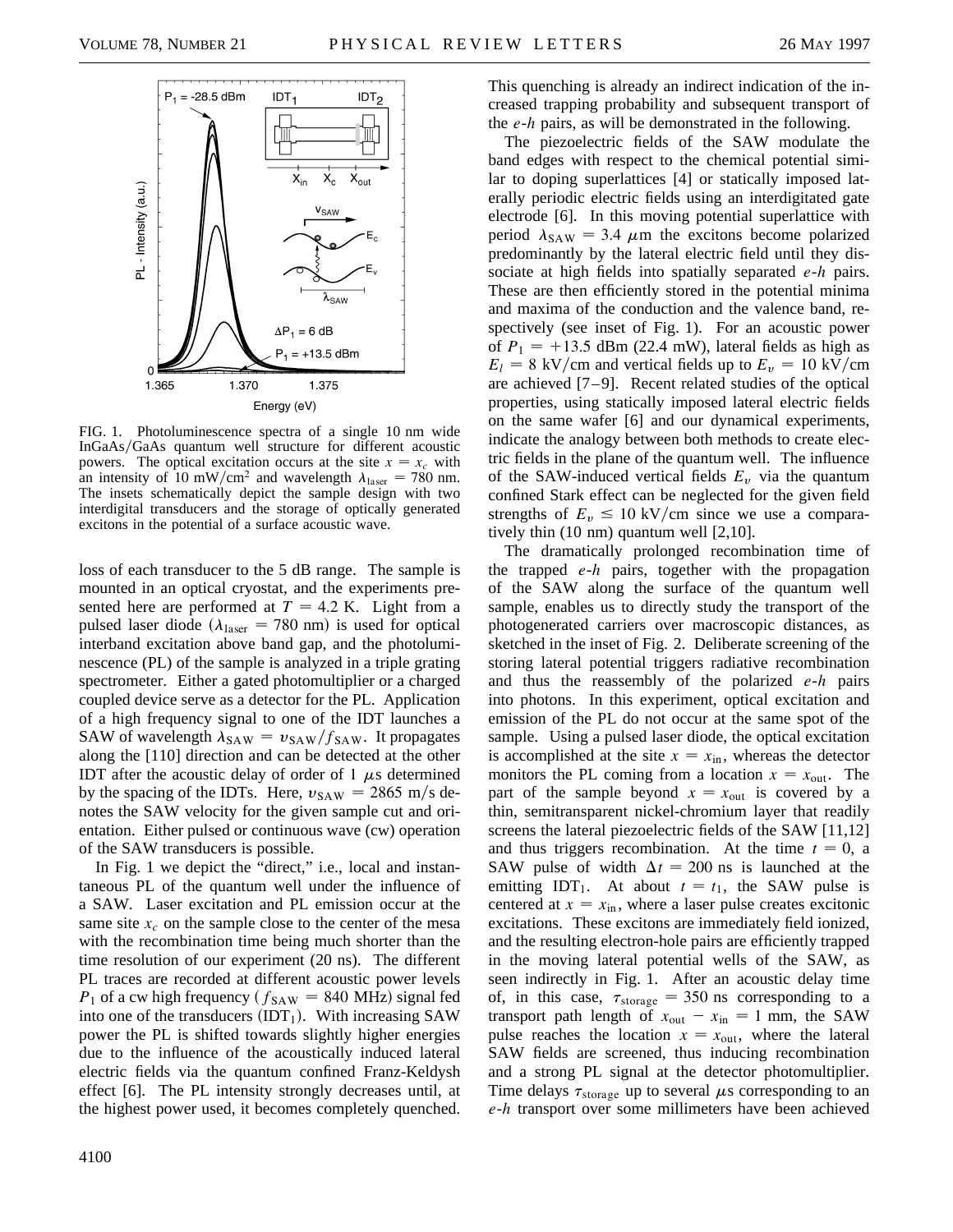

FIG. 1. Photoluminescence spectra of a single 10 nm wide InGaAs/GaAs quantum well structure for different acoustic powers. The optical excitation occurs at the site  $x = x_c$  with an intensity of 10 mW/cm<sup>2</sup> and wavelength  $\lambda_{\text{laser}} = 780$  nm. The insets schematically depict the sample design with two interdigital transducers and the storage of optically generated excitons in the potential of a surface acoustic wave.

loss of each transducer to the 5 dB range. The sample is mounted in an optical cryostat, and the experiments presented here are performed at  $T = 4.2$  K. Light from a pulsed laser diode ( $\lambda_{\text{laser}} = 780 \text{ nm}$ ) is used for optical interband excitation above band gap, and the photoluminescence (PL) of the sample is analyzed in a triple grating spectrometer. Either a gated photomultiplier or a charged coupled device serve as a detector for the PL. Application of a high frequency signal to one of the IDT launches a SAW of wavelength  $\lambda_{SAW} = v_{SAW} / f_{SAW}$ . It propagates along the [110] direction and can be detected at the other IDT after the acoustic delay of order of 1  $\mu$ s determined by the spacing of the IDTs. Here,  $v_{SAW} = 2865$  m/s denotes the SAW velocity for the given sample cut and orientation. Either pulsed or continuous wave (cw) operation of the SAW transducers is possible.

In Fig. 1 we depict the "direct," i.e., local and instantaneous PL of the quantum well under the influence of a SAW. Laser excitation and PL emission occur at the same site  $x_c$  on the sample close to the center of the mesa with the recombination time being much shorter than the time resolution of our experiment (20 ns). The different PL traces are recorded at different acoustic power levels  $P_1$  of a cw high frequency ( $f_{SAW}$  = 840 MHz) signal fed into one of the transducers  $(IDT<sub>1</sub>)$ . With increasing SAW power the PL is shifted towards slightly higher energies due to the influence of the acoustically induced lateral electric fields via the quantum confined Franz-Keldysh effect [6]. The PL intensity strongly decreases until, at the highest power used, it becomes completely quenched.

This quenching is already an indirect indication of the increased trapping probability and subsequent transport of the *e*-*h* pairs, as will be demonstrated in the following.

The piezoelectric fields of the SAW modulate the band edges with respect to the chemical potential similar to doping superlattices [4] or statically imposed laterally periodic electric fields using an interdigitated gate electrode [6]. In this moving potential superlattice with period  $\lambda_{\text{SAW}} = 3.4 \mu \text{m}$  the excitons become polarized predominantly by the lateral electric field until they dissociate at high fields into spatially separated *e*-*h* pairs. These are then efficiently stored in the potential minima and maxima of the conduction and the valence band, respectively (see inset of Fig. 1). For an acoustic power of  $P_1 = +13.5$  dBm (22.4 mW), lateral fields as high as  $E_l = 8 \text{ kV/cm}$  and vertical fields up to  $E_v = 10 \text{ kV/cm}$ are achieved [7–9]. Recent related studies of the optical properties, using statically imposed lateral electric fields on the same wafer [6] and our dynamical experiments, indicate the analogy between both methods to create electric fields in the plane of the quantum well. The influence of the SAW-induced vertical fields  $E_y$  via the quantum confined Stark effect can be neglected for the given field strengths of  $E_v \le 10 \text{ kV/cm}$  since we use a comparatively thin (10 nm) quantum well [2,10].

The dramatically prolonged recombination time of the trapped *e*-*h* pairs, together with the propagation of the SAW along the surface of the quantum well sample, enables us to directly study the transport of the photogenerated carriers over macroscopic distances, as sketched in the inset of Fig. 2. Deliberate screening of the storing lateral potential triggers radiative recombination and thus the reassembly of the polarized *e*-*h* pairs into photons. In this experiment, optical excitation and emission of the PL do not occur at the same spot of the sample. Using a pulsed laser diode, the optical excitation is accomplished at the site  $x = x_{\text{in}}$ , whereas the detector monitors the PL coming from a location  $x = x_{\text{out}}$ . The part of the sample beyond  $x = x_{\text{out}}$  is covered by a thin, semitransparent nickel-chromium layer that readily screens the lateral piezoelectric fields of the SAW [11,12] and thus triggers recombination. At the time  $t = 0$ , a SAW pulse of width  $\Delta t = 200$  ns is launched at the emitting IDT<sub>1</sub>. At about  $t = t_1$ , the SAW pulse is centered at  $x = x_{\text{in}}$ , where a laser pulse creates excitonic excitations. These excitons are immediately field ionized, and the resulting electron-hole pairs are efficiently trapped in the moving lateral potential wells of the SAW, as seen indirectly in Fig. 1. After an acoustic delay time of, in this case,  $\tau_{\text{storage}} = 350 \text{ ns}$  corresponding to a transport path length of  $x_{\text{out}} - x_{\text{in}} = 1$  mm, the SAW pulse reaches the location  $x = x_{\text{out}}$ , where the lateral SAW fields are screened, thus inducing recombination and a strong PL signal at the detector photomultiplier. Time delays  $\tau_{\text{storage}}$  up to several  $\mu$ s corresponding to an *e*-*h* transport over some millimeters have been achieved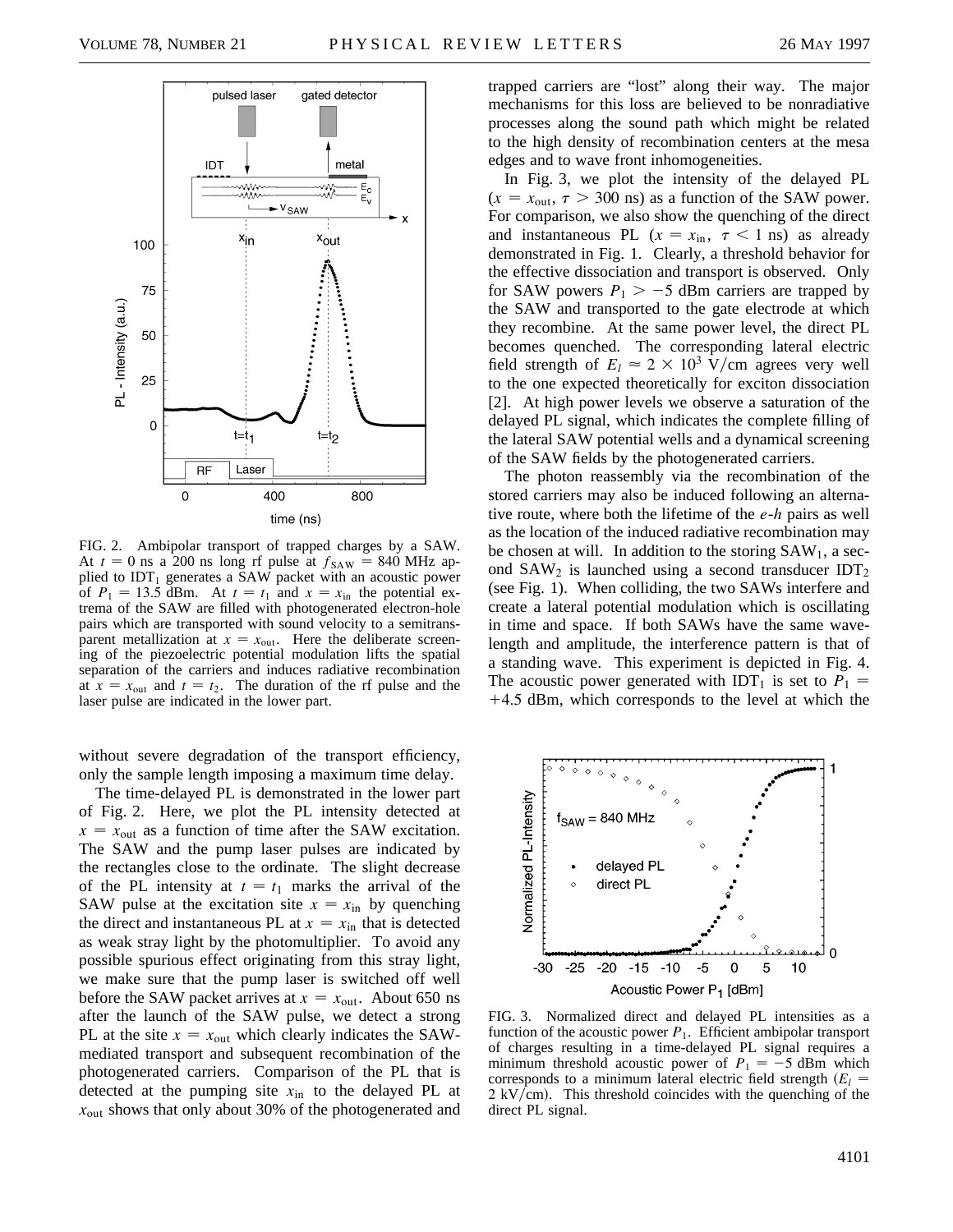

FIG. 2. Ambipolar transport of trapped charges by a SAW. At  $t = 0$  ns a 200 ns long rf pulse at  $f_{SAW} = 840$  MHz applied to  $IDT_1$  generates a SAW packet with an acoustic power of  $P_1 = 13.5$  dBm. At  $t = t_1$  and  $x = x_{\text{in}}$  the potential extrema of the SAW are filled with photogenerated electron-hole pairs which are transported with sound velocity to a semitransparent metallization at  $x = x_{\text{out}}$ . Here the deliberate screening of the piezoelectric potential modulation lifts the spatial separation of the carriers and induces radiative recombination at  $x = x_{\text{out}}$  and  $t = t_2$ . The duration of the rf pulse and the laser pulse are indicated in the lower part.

without severe degradation of the transport efficiency, only the sample length imposing a maximum time delay.

The time-delayed PL is demonstrated in the lower part of Fig. 2. Here, we plot the PL intensity detected at  $x = x_{\text{out}}$  as a function of time after the SAW excitation. The SAW and the pump laser pulses are indicated by the rectangles close to the ordinate. The slight decrease of the PL intensity at  $t = t_1$  marks the arrival of the SAW pulse at the excitation site  $x = x_{\text{in}}$  by quenching the direct and instantaneous PL at  $x = x_{\text{in}}$  that is detected as weak stray light by the photomultiplier. To avoid any possible spurious effect originating from this stray light, we make sure that the pump laser is switched off well before the SAW packet arrives at  $x = x_{\text{out}}$ . About 650 ns after the launch of the SAW pulse, we detect a strong PL at the site  $x = x_{\text{out}}$  which clearly indicates the SAWmediated transport and subsequent recombination of the photogenerated carriers. Comparison of the PL that is detected at the pumping site  $x_{in}$  to the delayed PL at *x*out shows that only about 30% of the photogenerated and

trapped carriers are "lost" along their way. The major mechanisms for this loss are believed to be nonradiative processes along the sound path which might be related to the high density of recombination centers at the mesa edges and to wave front inhomogeneities.

In Fig. 3, we plot the intensity of the delayed PL  $(x = x_{\text{out}}, \tau > 300 \text{ ns})$  as a function of the SAW power. For comparison, we also show the quenching of the direct and instantaneous PL ( $x = x_{\text{in}}$ ,  $\tau < 1$  ns) as already demonstrated in Fig. 1. Clearly, a threshold behavior for the effective dissociation and transport is observed. Only for SAW powers  $P_1 > -5$  dBm carriers are trapped by the SAW and transported to the gate electrode at which they recombine. At the same power level, the direct PL becomes quenched. The corresponding lateral electric field strength of  $E_l \approx 2 \times 10^3$  V/cm agrees very well to the one expected theoretically for exciton dissociation [2]. At high power levels we observe a saturation of the delayed PL signal, which indicates the complete filling of the lateral SAW potential wells and a dynamical screening of the SAW fields by the photogenerated carriers.

The photon reassembly via the recombination of the stored carriers may also be induced following an alternative route, where both the lifetime of the *e*-*h* pairs as well as the location of the induced radiative recombination may be chosen at will. In addition to the storing  $SAW<sub>1</sub>$ , a second  $SAW_2$  is launched using a second transducer IDT<sub>2</sub> (see Fig. 1). When colliding, the two SAWs interfere and create a lateral potential modulation which is oscillating in time and space. If both SAWs have the same wavelength and amplitude, the interference pattern is that of a standing wave. This experiment is depicted in Fig. 4. The acoustic power generated with IDT<sub>1</sub> is set to  $P_1 =$  $+4.5$  dBm, which corresponds to the level at which the



FIG. 3. Normalized direct and delayed PL intensities as a function of the acoustic power  $P_1$ . Efficient ambipolar transport of charges resulting in a time-delayed PL signal requires a minimum threshold acoustic power of  $P_1 = -5$  dBm which corresponds to a minimum lateral electric field strength  $(E_l =$  $2 \text{ kV/cm}$ ). This threshold coincides with the quenching of the direct PL signal.